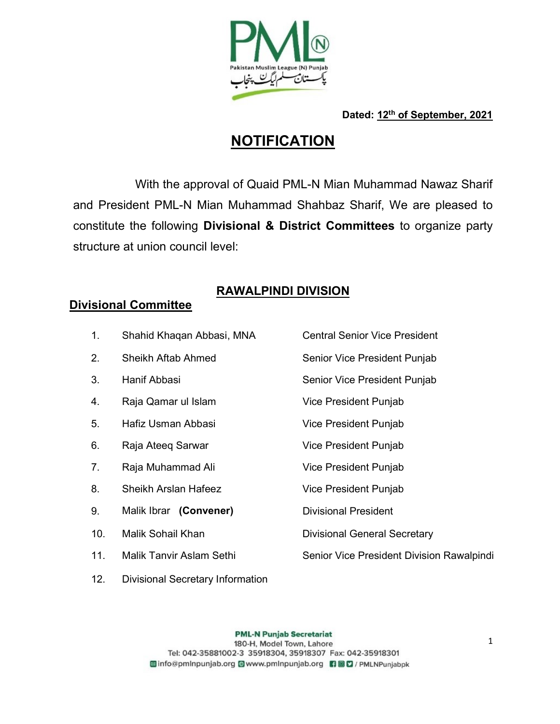

Dated: 12<sup>th</sup> of September, 2021

# **NOTIFICATION**

 With the approval of Quaid PML-N Mian Muhammad Nawaz Sharif and President PML-N Mian Muhammad Shahbaz Sharif, We are pleased to constitute the following Divisional & District Committees to organize party structure at union council level:

## RAWALPINDI DIVISION

## Divisional Committee

| 1.  | Shahid Khaqan Abbasi, MNA       | <b>Central Senior Vice President</b>      |
|-----|---------------------------------|-------------------------------------------|
| 2.  | Sheikh Aftab Ahmed              | Senior Vice President Punjab              |
| 3.  | Hanif Abbasi                    | Senior Vice President Punjab              |
| 4.  | Raja Qamar ul Islam             | Vice President Punjab                     |
| 5.  | Hafiz Usman Abbasi              | Vice President Punjab                     |
| 6.  | Raja Ateeg Sarwar               | Vice President Punjab                     |
| 7.  | Raja Muhammad Ali               | Vice President Punjab                     |
| 8.  | Sheikh Arslan Hafeez            | Vice President Punjab                     |
| 9.  | Malik Ibrar (Convener)          | <b>Divisional President</b>               |
| 10. | Malik Sohail Khan               | <b>Divisional General Secretary</b>       |
| 11. | <b>Malik Tanvir Aslam Sethi</b> | Senior Vice President Division Rawalpindi |
|     |                                 |                                           |

12. Divisional Secretary Information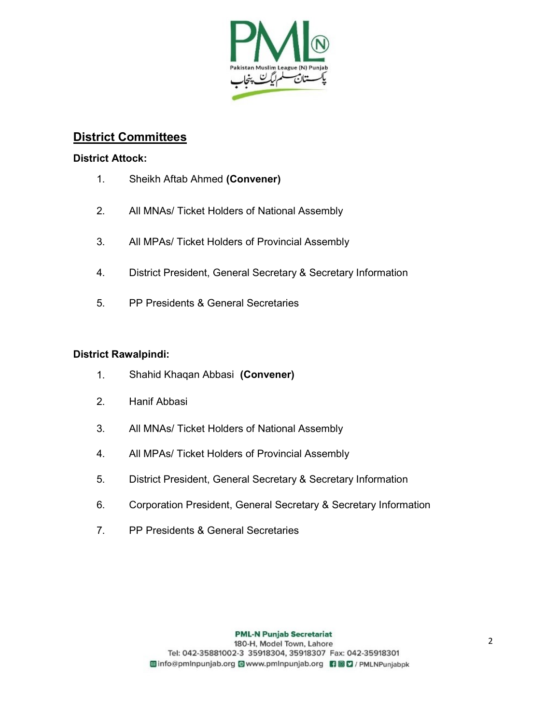

### District Committees

#### District Attock:

- 1. Sheikh Aftab Ahmed (Convener)
- 2. All MNAs/ Ticket Holders of National Assembly
- 3. All MPAs/ Ticket Holders of Provincial Assembly
- 4. District President, General Secretary & Secretary Information
- 5. PP Presidents & General Secretaries

#### District Rawalpindi:

- 1. Shahid Khaqan Abbasi (Convener)
- 2. Hanif Abbasi
- 3. All MNAs/ Ticket Holders of National Assembly
- 4. All MPAs/ Ticket Holders of Provincial Assembly
- 5. District President, General Secretary & Secretary Information
- 6. Corporation President, General Secretary & Secretary Information
- 7. PP Presidents & General Secretaries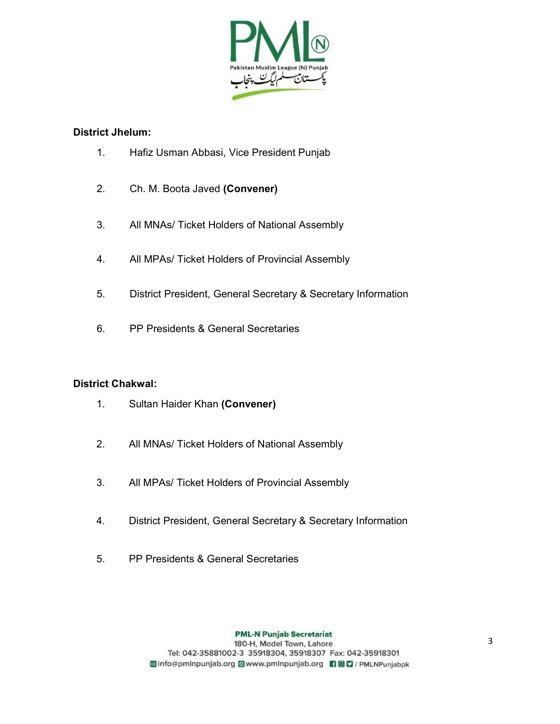

#### District Jhelum:

- 1. Hafiz Usman Abbasi, Vice President Punjab
- 2. Ch. M. Boota Javed (Convener)
- 3. All MNAs/ Ticket Holders of National Assembly
- 4. All MPAs/ Ticket Holders of Provincial Assembly
- 5. District President, General Secretary & Secretary Information
- 6. PP Presidents & General Secretaries

#### District Chakwal:

- 1. Sultan Haider Khan (Convener)
- 2. All MNAs/ Ticket Holders of National Assembly
- 3. All MPAs/ Ticket Holders of Provincial Assembly
- 4. District President, General Secretary & Secretary Information
- 5. PP Presidents & General Secretaries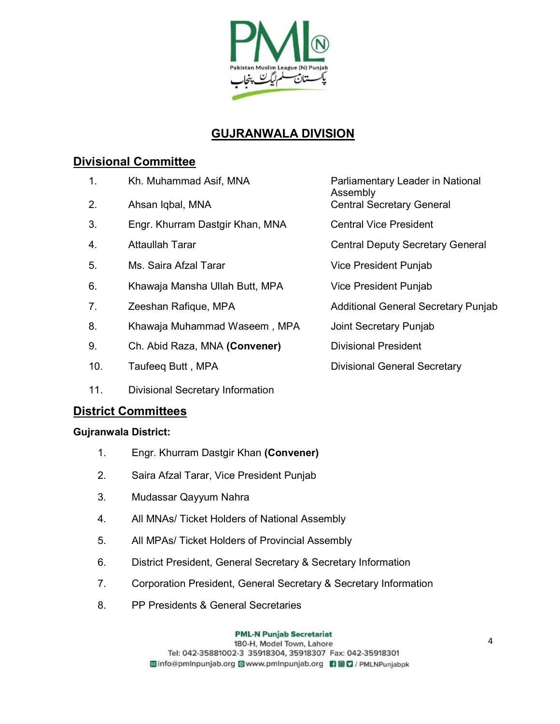

## GUJRANWALA DIVISION

### Divisional Committee

- 1. Kh. Muhammad Asif, MNA Parliamentary Leader in National
- 2. Ahsan Iqbal, MNA Central Secretary General
- 3. Engr. Khurram Dastgir Khan, MNA Central Vice President
- 
- 5. Ms. Saira Afzal Tarar **Vice President Punjab**
- 6. Khawaja Mansha Ullah Butt, MPA Vice President Punjab
- 
- 8. Khawaja Muhammad Waseem , MPA Joint Secretary Punjab
- 9. Ch. Abid Raza, MNA (Convener) Divisional President
- 
- 11. Divisional Secretary Information

### District Committees

#### Gujranwala District:

- 1. Engr. Khurram Dastgir Khan (Convener)
- 2. Saira Afzal Tarar, Vice President Punjab
- 3. Mudassar Qayyum Nahra
- 4. All MNAs/ Ticket Holders of National Assembly
- 5. All MPAs/ Ticket Holders of Provincial Assembly
- 6. District President, General Secretary & Secretary Information
- 7. Corporation President, General Secretary & Secretary Information
- 8. PP Presidents & General Secretaries

**PML-N Punjab Secretariat** 

Assembly

4. Attaullah Tarar **Access 19 and Tarack Central Deputy Secretary General** 

- 7. Zeeshan Rafique, MPA **Altama Additional General Secretary Punjab** 
	-

10. Taufeeq Butt, MPA Divisional General Secretary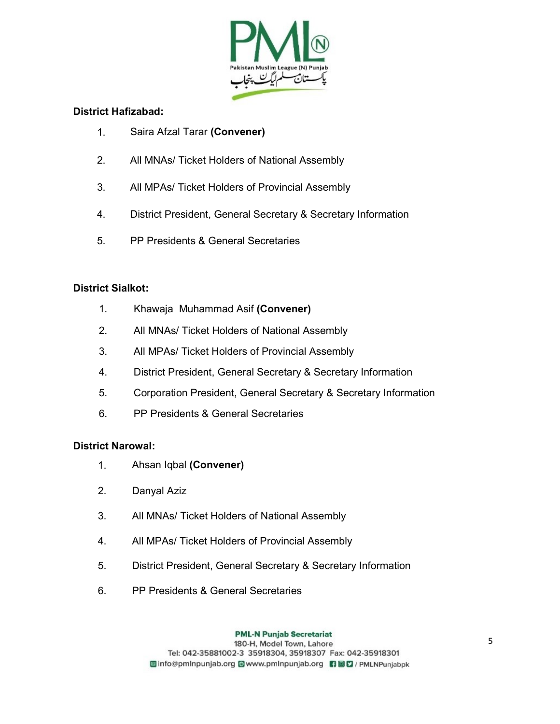

#### District Hafizabad:

- 1. Saira Afzal Tarar (Convener)
- 2. All MNAs/ Ticket Holders of National Assembly
- 3. All MPAs/ Ticket Holders of Provincial Assembly
- 4. District President, General Secretary & Secretary Information
- 5. PP Presidents & General Secretaries

#### District Sialkot:

- 1. Khawaja Muhammad Asif (Convener)
- 2. All MNAs/ Ticket Holders of National Assembly
- 3. All MPAs/ Ticket Holders of Provincial Assembly
- 4. District President, General Secretary & Secretary Information
- 5. Corporation President, General Secretary & Secretary Information
- 6. PP Presidents & General Secretaries

#### District Narowal:

- 1. Ahsan Iqbal (Convener)
- 2. Danyal Aziz
- 3. All MNAs/ Ticket Holders of National Assembly
- 4. All MPAs/ Ticket Holders of Provincial Assembly
- 5. District President, General Secretary & Secretary Information
- 6. PP Presidents & General Secretaries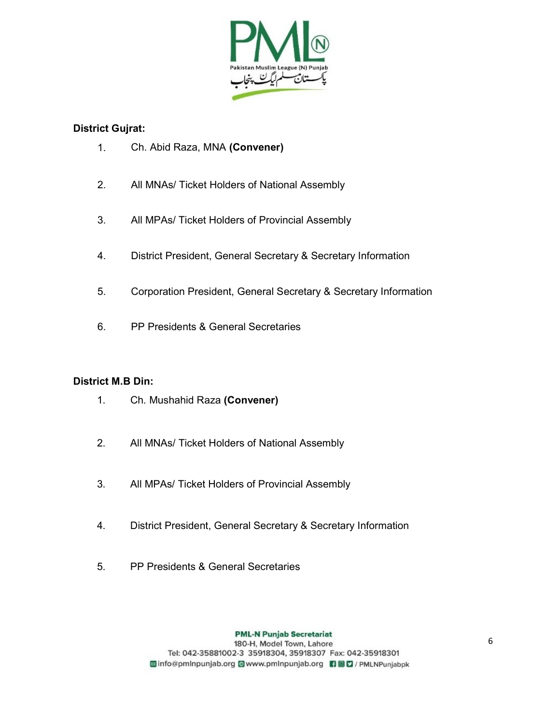

#### District Gujrat:

- 1. Ch. Abid Raza, MNA (Convener)
- 2. All MNAs/ Ticket Holders of National Assembly
- 3. All MPAs/ Ticket Holders of Provincial Assembly
- 4. District President, General Secretary & Secretary Information
- 5. Corporation President, General Secretary & Secretary Information
- 6. PP Presidents & General Secretaries

#### District M.B Din:

- 1. Ch. Mushahid Raza (Convener)
- 2. All MNAs/ Ticket Holders of National Assembly
- 3. All MPAs/ Ticket Holders of Provincial Assembly
- 4. District President, General Secretary & Secretary Information
- 5. PP Presidents & General Secretaries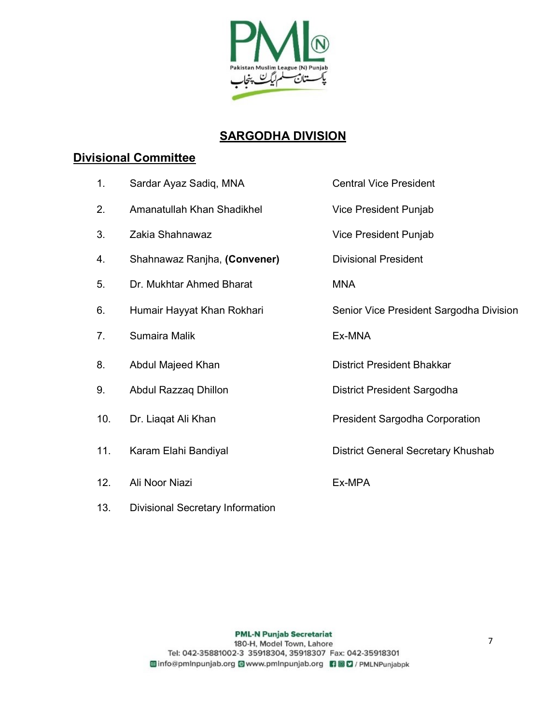

## SARGODHA DIVISION

## Divisional Committee

| 1.  | Sardar Ayaz Sadiq, MNA                  | <b>Central Vice President</b>           |
|-----|-----------------------------------------|-----------------------------------------|
| 2.  | Amanatullah Khan Shadikhel              | Vice President Punjab                   |
| 3.  | Zakia Shahnawaz                         | Vice President Punjab                   |
| 4.  | Shahnawaz Ranjha, (Convener)            | <b>Divisional President</b>             |
| 5.  | Dr. Mukhtar Ahmed Bharat                | <b>MNA</b>                              |
| 6.  | Humair Hayyat Khan Rokhari              | Senior Vice President Sargodha Division |
| 7.  | Sumaira Malik                           | Ex-MNA                                  |
| 8.  | Abdul Majeed Khan                       | <b>District President Bhakkar</b>       |
| 9.  | Abdul Razzaq Dhillon                    | District President Sargodha             |
| 10. | Dr. Liaqat Ali Khan                     | <b>President Sargodha Corporation</b>   |
| 11. | Karam Elahi Bandiyal                    | District General Secretary Khushab      |
| 12. | Ali Noor Niazi                          | Ex-MPA                                  |
| 13. | <b>Divisional Secretary Information</b> |                                         |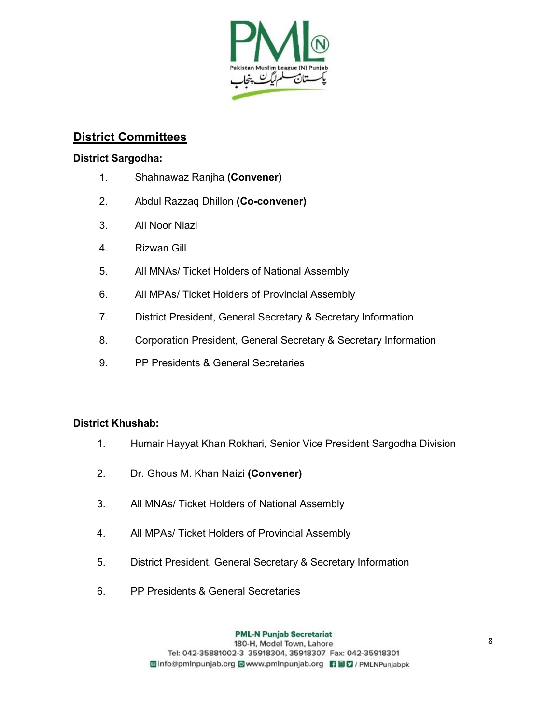

### District Committees

#### District Sargodha:

- 1. Shahnawaz Ranjha (Convener)
- 2. Abdul Razzaq Dhillon (Co-convener)
- 3. Ali Noor Niazi
- 4. Rizwan Gill
- 5. All MNAs/ Ticket Holders of National Assembly
- 6. All MPAs/ Ticket Holders of Provincial Assembly
- 7. District President, General Secretary & Secretary Information
- 8. Corporation President, General Secretary & Secretary Information
- 9. PP Presidents & General Secretaries

#### District Khushab:

- 1. Humair Hayyat Khan Rokhari, Senior Vice President Sargodha Division
- 2. Dr. Ghous M. Khan Naizi (Convener)
- 3. All MNAs/ Ticket Holders of National Assembly
- 4. All MPAs/ Ticket Holders of Provincial Assembly
- 5. District President, General Secretary & Secretary Information
- 6. PP Presidents & General Secretaries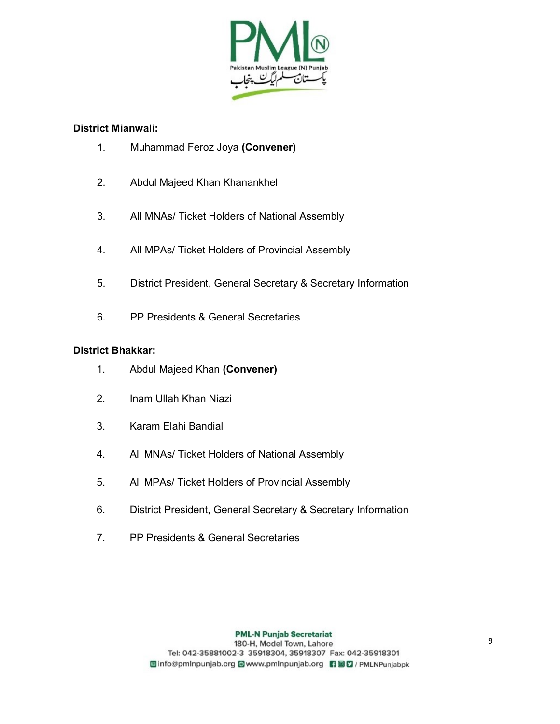

#### District Mianwali:

- 1. Muhammad Feroz Joya (Convener)
- 2. Abdul Majeed Khan Khanankhel
- 3. All MNAs/ Ticket Holders of National Assembly
- 4. All MPAs/ Ticket Holders of Provincial Assembly
- 5. District President, General Secretary & Secretary Information
- 6. PP Presidents & General Secretaries

#### District Bhakkar:

- 1. Abdul Majeed Khan (Convener)
- 2. Inam Ullah Khan Niazi
- 3. Karam Elahi Bandial
- 4. All MNAs/ Ticket Holders of National Assembly
- 5. All MPAs/ Ticket Holders of Provincial Assembly
- 6. District President, General Secretary & Secretary Information
- 7. PP Presidents & General Secretaries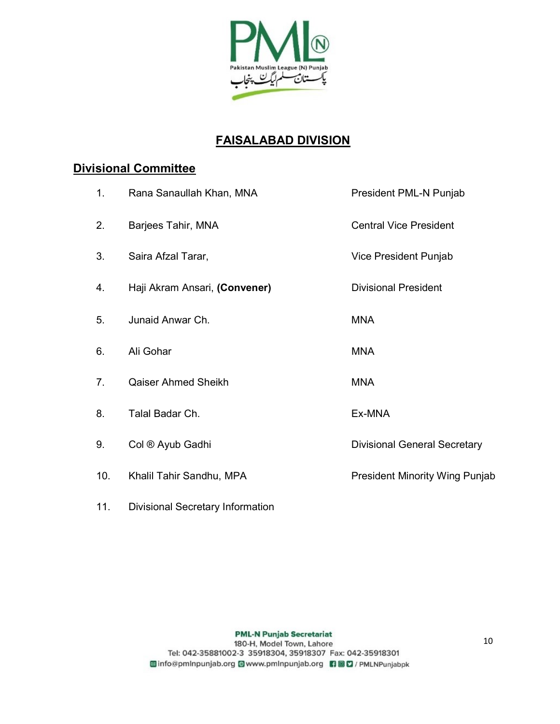

## FAISALABAD DIVISION

### Divisional Committee

| 1.  | Rana Sanaullah Khan, MNA      | President PML-N Punjab                |
|-----|-------------------------------|---------------------------------------|
| 2.  | Barjees Tahir, MNA            | <b>Central Vice President</b>         |
| 3.  | Saira Afzal Tarar,            | Vice President Punjab                 |
| 4.  | Haji Akram Ansari, (Convener) | <b>Divisional President</b>           |
| 5.  | Junaid Anwar Ch.              | <b>MNA</b>                            |
| 6.  | Ali Gohar                     | <b>MNA</b>                            |
| 7.  | Qaiser Ahmed Sheikh           | <b>MNA</b>                            |
| 8.  | Talal Badar Ch.               | Ex-MNA                                |
| 9.  | Col ® Ayub Gadhi              | <b>Divisional General Secretary</b>   |
| 10. | Khalil Tahir Sandhu, MPA      | <b>President Minority Wing Punjab</b> |
|     |                               |                                       |

11. Divisional Secretary Information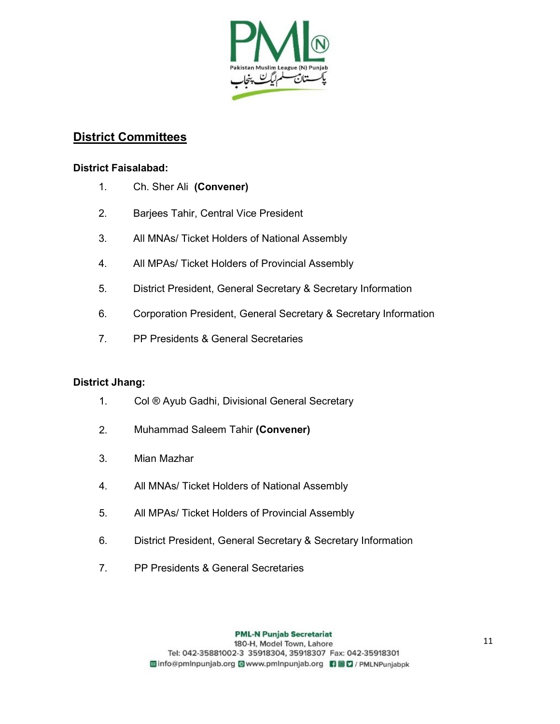

### District Committees

#### District Faisalabad:

- 1. Ch. Sher Ali (Convener)
- 2. Barjees Tahir, Central Vice President
- 3. All MNAs/ Ticket Holders of National Assembly
- 4. All MPAs/ Ticket Holders of Provincial Assembly
- 5. District President, General Secretary & Secretary Information
- 6. Corporation President, General Secretary & Secretary Information
- 7. PP Presidents & General Secretaries

#### District Jhang:

- 1. Col ® Ayub Gadhi, Divisional General Secretary
- 2. Muhammad Saleem Tahir (Convener)
- 3. Mian Mazhar
- 4. All MNAs/ Ticket Holders of National Assembly
- 5. All MPAs/ Ticket Holders of Provincial Assembly
- 6. District President, General Secretary & Secretary Information
- 7. PP Presidents & General Secretaries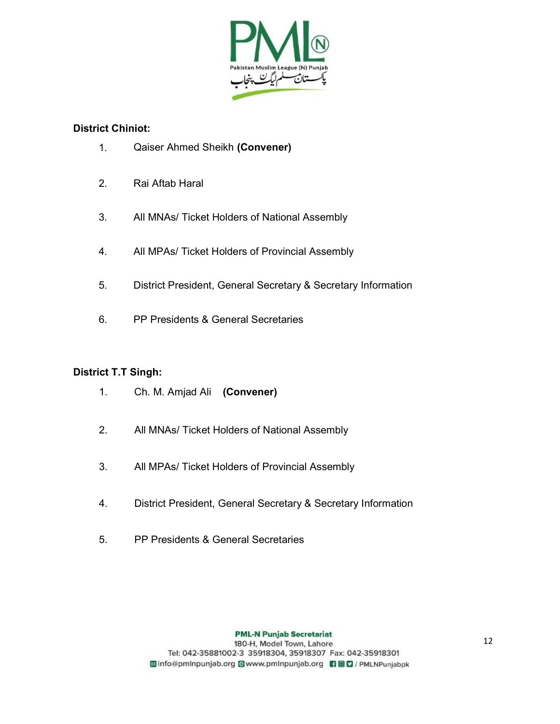

#### District Chiniot:

- 1. Qaiser Ahmed Sheikh (Convener)
- 2. Rai Aftab Haral
- 3. All MNAs/ Ticket Holders of National Assembly
- 4. All MPAs/ Ticket Holders of Provincial Assembly
- 5. District President, General Secretary & Secretary Information
- 6. PP Presidents & General Secretaries

#### District T.T Singh:

- 1. Ch. M. Amjad Ali (Convener)
- 2. All MNAs/ Ticket Holders of National Assembly
- 3. All MPAs/ Ticket Holders of Provincial Assembly
- 4. District President, General Secretary & Secretary Information
- 5. PP Presidents & General Secretaries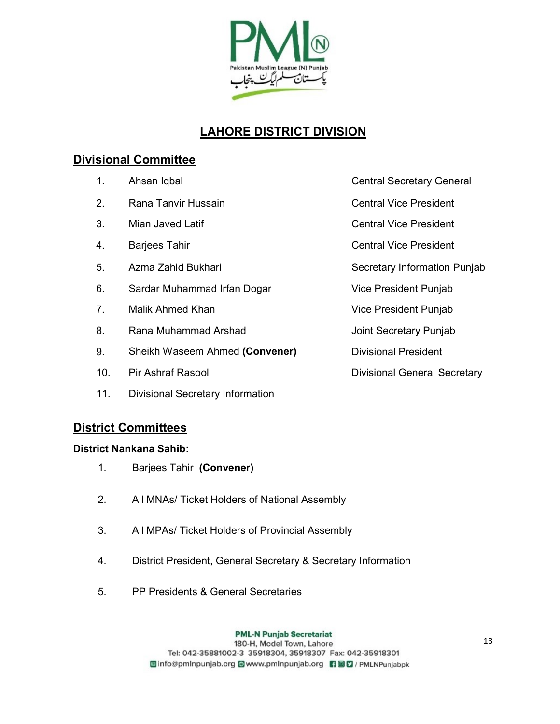

## LAHORE DISTRICT DIVISION

### Divisional Committee

| 1.              | Ahsan Iqbal                             | <b>Central Secretary General</b>    |
|-----------------|-----------------------------------------|-------------------------------------|
| 2.              | Rana Tanvir Hussain                     | <b>Central Vice President</b>       |
| 3.              | Mian Javed Latif                        | <b>Central Vice President</b>       |
| 4.              | <b>Barjees Tahir</b>                    | <b>Central Vice President</b>       |
| 5.              | Azma Zahid Bukhari                      | Secretary Information Punjab        |
| 6.              | Sardar Muhammad Irfan Dogar             | Vice President Punjab               |
| 7 <sub>1</sub>  | Malik Ahmed Khan                        | Vice President Punjab               |
| 8.              | Rana Muhammad Arshad                    | Joint Secretary Punjab              |
| 9.              | Sheikh Waseem Ahmed (Convener)          | <b>Divisional President</b>         |
| 10 <sub>1</sub> | <b>Pir Ashraf Rasool</b>                | <b>Divisional General Secretary</b> |
| 11.             | <b>Divisional Secretary Information</b> |                                     |

### District Committees

#### District Nankana Sahib:

- 1. Barjees Tahir (Convener)
- 2. All MNAs/ Ticket Holders of National Assembly
- 3. All MPAs/ Ticket Holders of Provincial Assembly
- 4. District President, General Secretary & Secretary Information
- 5. PP Presidents & General Secretaries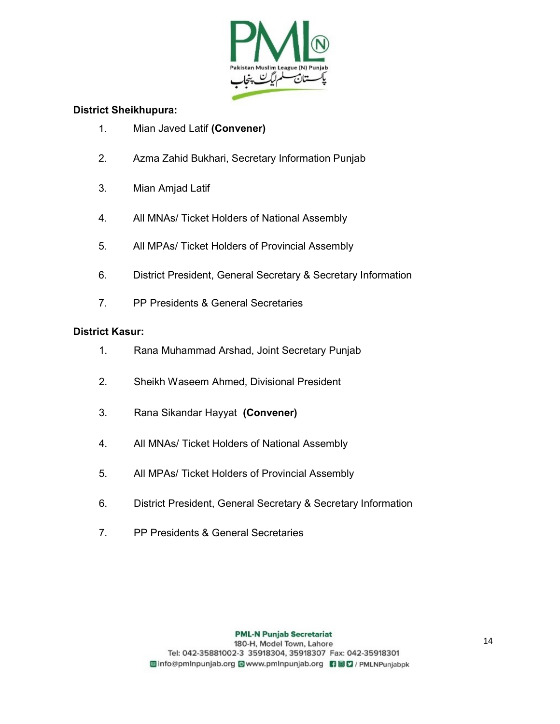

#### District Sheikhupura:

- 1. Mian Javed Latif (Convener)
- 2. Azma Zahid Bukhari, Secretary Information Punjab
- 3. Mian Amjad Latif
- 4. All MNAs/ Ticket Holders of National Assembly
- 5. All MPAs/ Ticket Holders of Provincial Assembly
- 6. District President, General Secretary & Secretary Information
- 7. PP Presidents & General Secretaries

#### District Kasur:

- 1. Rana Muhammad Arshad, Joint Secretary Punjab
- 2. Sheikh Waseem Ahmed, Divisional President
- 3. Rana Sikandar Hayyat (Convener)
- 4. All MNAs/ Ticket Holders of National Assembly
- 5. All MPAs/ Ticket Holders of Provincial Assembly
- 6. District President, General Secretary & Secretary Information
- 7. PP Presidents & General Secretaries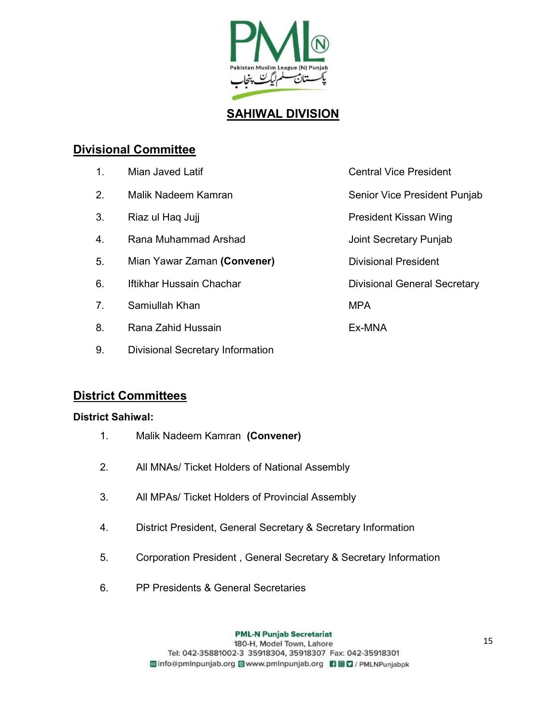

### SAHIWAL DIVISION

### Divisional Committee

| 1 <sub>1</sub> | Mian Javed Latif            | <b>Central Vice President</b>       |
|----------------|-----------------------------|-------------------------------------|
| 2.             | Malik Nadeem Kamran         | Senior Vice President Punjab        |
| 3.             | Riaz ul Haq Jujj            | President Kissan Wing               |
| 4.             | Rana Muhammad Arshad        | Joint Secretary Punjab              |
| 5.             | Mian Yawar Zaman (Convener) | <b>Divisional President</b>         |
| 6.             | Iftikhar Hussain Chachar    | <b>Divisional General Secretary</b> |
| 7.             | Samiullah Khan              | <b>MPA</b>                          |
| 8.             | Rana Zahid Hussain          | Ex-MNA                              |

### District Committees

#### District Sahiwal:

1. Malik Nadeem Kamran (Convener)

9. Divisional Secretary Information

- 2. All MNAs/ Ticket Holders of National Assembly
- 3. All MPAs/ Ticket Holders of Provincial Assembly
- 4. District President, General Secretary & Secretary Information
- 5. Corporation President , General Secretary & Secretary Information
- 6. PP Presidents & General Secretaries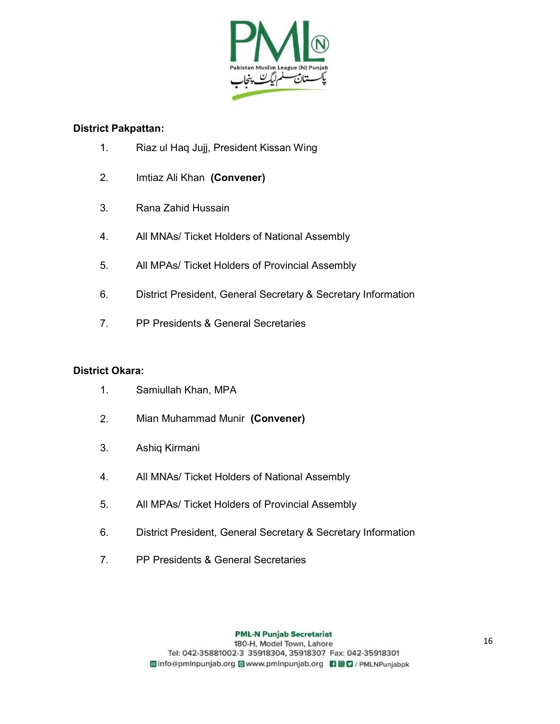

#### District Pakpattan:

- 1. Riaz ul Haq Jujj, President Kissan Wing
- 2. Imtiaz Ali Khan (Convener)
- 3. Rana Zahid Hussain
- 4. All MNAs/ Ticket Holders of National Assembly
- 5. All MPAs/ Ticket Holders of Provincial Assembly
- 6. District President, General Secretary & Secretary Information
- 7. PP Presidents & General Secretaries

#### District Okara:

- 1. Samiullah Khan, MPA
- 2. Mian Muhammad Munir (Convener)
- 3. Ashiq Kirmani
- 4. All MNAs/ Ticket Holders of National Assembly
- 5. All MPAs/ Ticket Holders of Provincial Assembly
- 6. District President, General Secretary & Secretary Information
- 7. PP Presidents & General Secretaries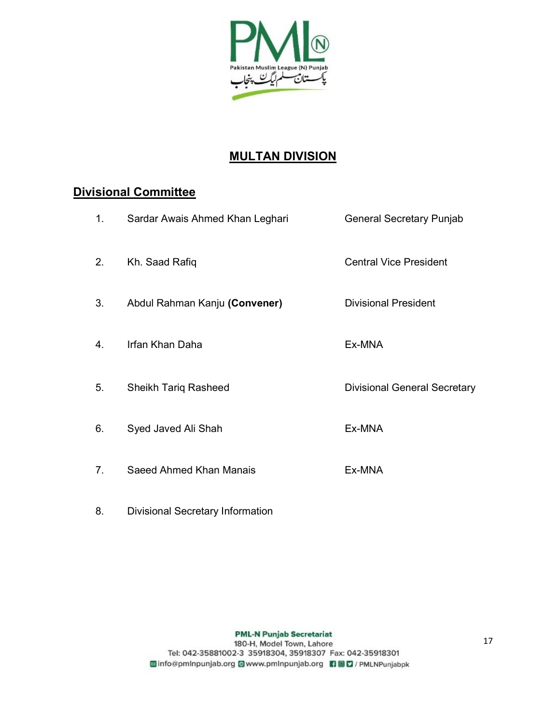

## MULTAN DIVISION

### Divisional Committee

| 1.             | Sardar Awais Ahmed Khan Leghari | <b>General Secretary Punjab</b>     |
|----------------|---------------------------------|-------------------------------------|
| 2.             | Kh. Saad Rafiq                  | <b>Central Vice President</b>       |
| 3.             | Abdul Rahman Kanju (Convener)   | <b>Divisional President</b>         |
| 4.             | Irfan Khan Daha                 | Ex-MNA                              |
| 5.             | <b>Sheikh Tariq Rasheed</b>     | <b>Divisional General Secretary</b> |
| 6.             | Syed Javed Ali Shah             | Ex-MNA                              |
| 7 <sub>1</sub> | Saeed Ahmed Khan Manais         | Ex-MNA                              |

8. Divisional Secretary Information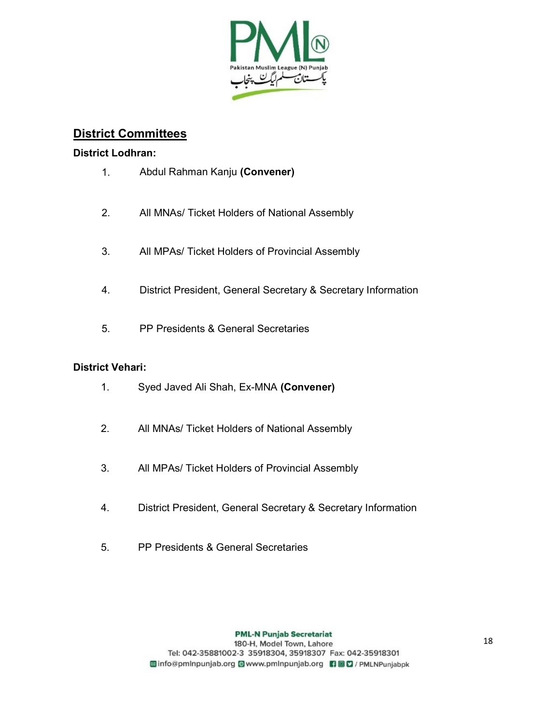

### District Committees

#### District Lodhran:

- 1. Abdul Rahman Kanju (Convener)
- 2. All MNAs/ Ticket Holders of National Assembly
- 3. All MPAs/ Ticket Holders of Provincial Assembly
- 4. District President, General Secretary & Secretary Information
- 5. PP Presidents & General Secretaries

#### District Vehari:

- 1. Syed Javed Ali Shah, Ex-MNA (Convener)
- 2. All MNAs/ Ticket Holders of National Assembly
- 3. All MPAs/ Ticket Holders of Provincial Assembly
- 4. District President, General Secretary & Secretary Information
- 5. PP Presidents & General Secretaries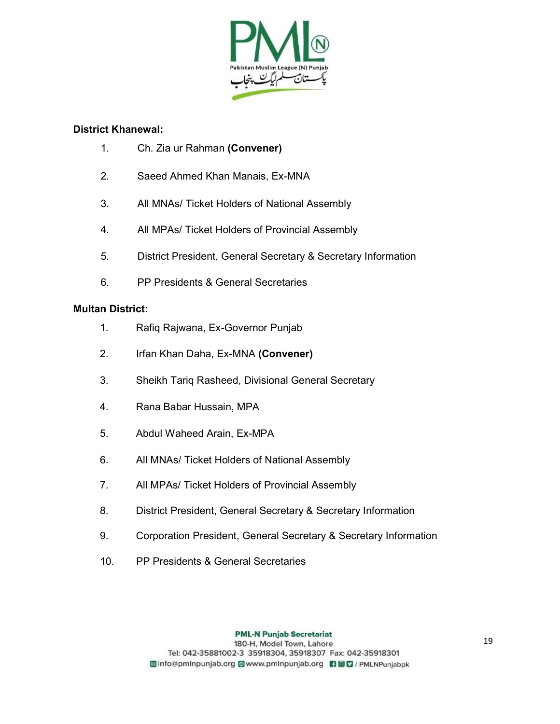

#### District Khanewal:

- 1. Ch. Zia ur Rahman (Convener)
- 2. Saeed Ahmed Khan Manais, Ex-MNA
- 3. All MNAs/ Ticket Holders of National Assembly
- 4. All MPAs/ Ticket Holders of Provincial Assembly
- 5. District President, General Secretary & Secretary Information
- 6. PP Presidents & General Secretaries

#### Multan District:

- 1. Rafiq Rajwana, Ex-Governor Punjab
- 2. Irfan Khan Daha, Ex-MNA (Convener)
- 3. Sheikh Tariq Rasheed, Divisional General Secretary
- 4. Rana Babar Hussain, MPA
- 5. Abdul Waheed Arain, Ex-MPA
- 6. All MNAs/ Ticket Holders of National Assembly
- 7. All MPAs/ Ticket Holders of Provincial Assembly
- 8. District President, General Secretary & Secretary Information
- 9. Corporation President, General Secretary & Secretary Information
- 10. PP Presidents & General Secretaries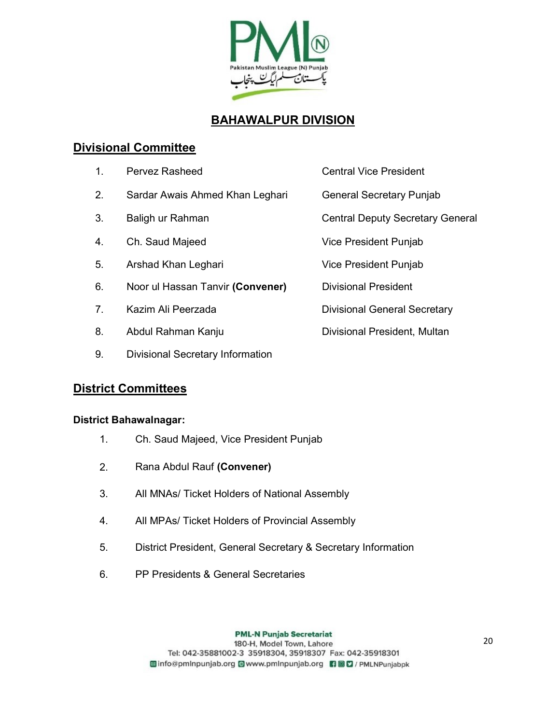

## BAHAWALPUR DIVISION

### Divisional Committee

- 1. Pervez Rasheed **Central Vice President**
- 2. Sardar Awais Ahmed Khan Leghari General Secretary Punjab
- 3. Baligh ur Rahman Central Deputy Secretary General
- 4. Ch. Saud Majeed Vice President Punjab
- 5. Arshad Khan Leghari **Nanalis Company Constructs** Vice President Punjab
- 6. Noor ul Hassan Tanvir (Convener) Divisional President
- 7. Kazim Ali Peerzada **Divisional General Secretary**
- 8. Abdul Rahman Kanju **Divisional President, Multan**
- 9. Divisional Secretary Information

### District Committees

#### District Bahawalnagar:

- 1. Ch. Saud Majeed, Vice President Punjab
- 2. Rana Abdul Rauf (Convener)
- 3. All MNAs/ Ticket Holders of National Assembly
- 4. All MPAs/ Ticket Holders of Provincial Assembly
- 5. District President, General Secretary & Secretary Information
- 6. PP Presidents & General Secretaries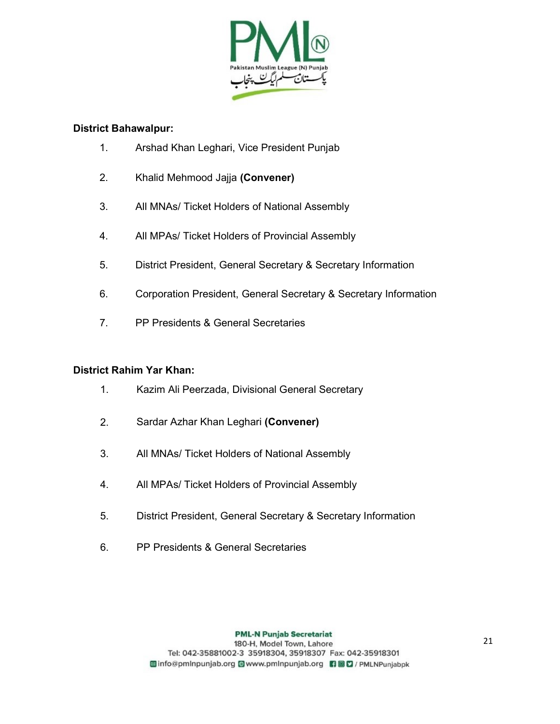

#### District Bahawalpur:

- 1. Arshad Khan Leghari, Vice President Punjab
- 2. Khalid Mehmood Jajja (Convener)
- 3. All MNAs/ Ticket Holders of National Assembly
- 4. All MPAs/ Ticket Holders of Provincial Assembly
- 5. District President, General Secretary & Secretary Information
- 6. Corporation President, General Secretary & Secretary Information
- 7. PP Presidents & General Secretaries

#### District Rahim Yar Khan:

- 1. Kazim Ali Peerzada, Divisional General Secretary
- 2. Sardar Azhar Khan Leghari (Convener)
- 3. All MNAs/ Ticket Holders of National Assembly
- 4. All MPAs/ Ticket Holders of Provincial Assembly
- 5. District President, General Secretary & Secretary Information
- 6. PP Presidents & General Secretaries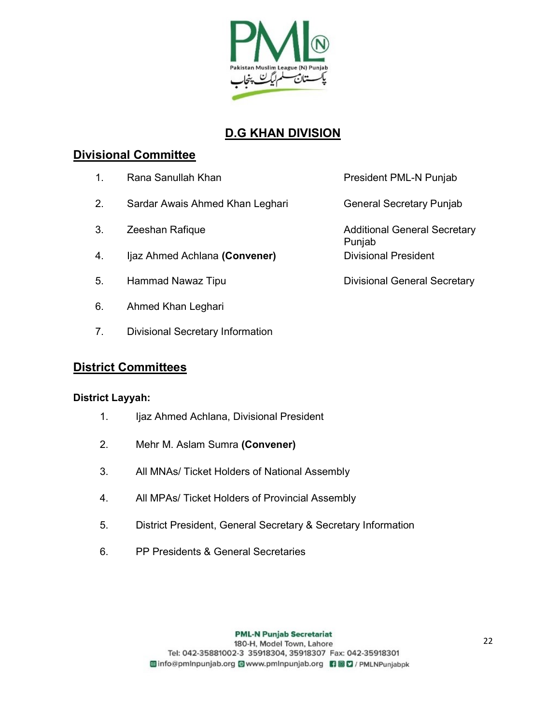

## D.G KHAN DIVISION

### Divisional Committee

- 1. Rana Sanullah Khan President PML-N Punjab
- 2. Sardar Awais Ahmed Khan Leghari General Secretary Punjab
- 
- 4. Ijaz Ahmed Achlana (Convener) Divisional President
- 5. Hammad Nawaz Tipu **Divisional General Secretary**
- 6. Ahmed Khan Leghari
- 7. Divisional Secretary Information

### District Committees

#### District Layyah:

- 1. Ijaz Ahmed Achlana, Divisional President
- 2. Mehr M. Aslam Sumra (Convener)
- 3. All MNAs/ Ticket Holders of National Assembly
- 4. All MPAs/ Ticket Holders of Provincial Assembly
- 5. District President, General Secretary & Secretary Information
- 6. PP Presidents & General Secretaries

3. Zeeshan Rafique **Additional General Secretary** Secretary Punjab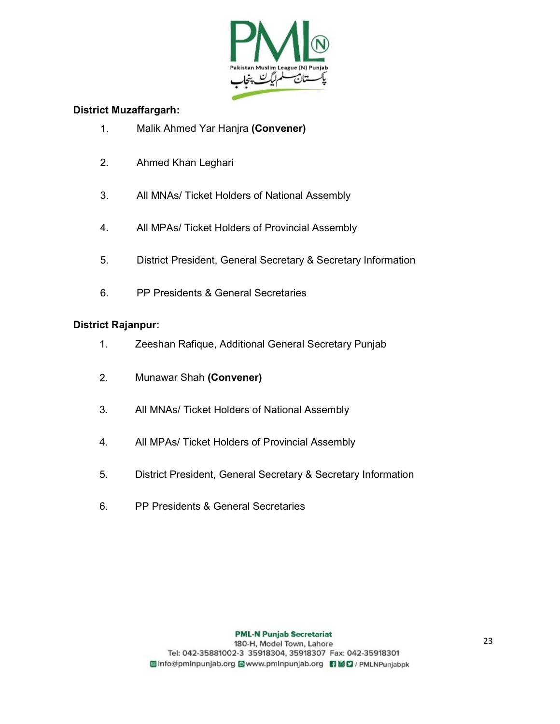

#### District Muzaffargarh:

- 1. Malik Ahmed Yar Hanjra (Convener)
- 2. Ahmed Khan Leghari
- 3. All MNAs/ Ticket Holders of National Assembly
- 4. All MPAs/ Ticket Holders of Provincial Assembly
- 5. District President, General Secretary & Secretary Information
- 6. PP Presidents & General Secretaries

#### District Rajanpur:

- 1. Zeeshan Rafique, Additional General Secretary Punjab
- 2. Munawar Shah (Convener)
- 3. All MNAs/ Ticket Holders of National Assembly
- 4. All MPAs/ Ticket Holders of Provincial Assembly
- 5. District President, General Secretary & Secretary Information
- 6. PP Presidents & General Secretaries